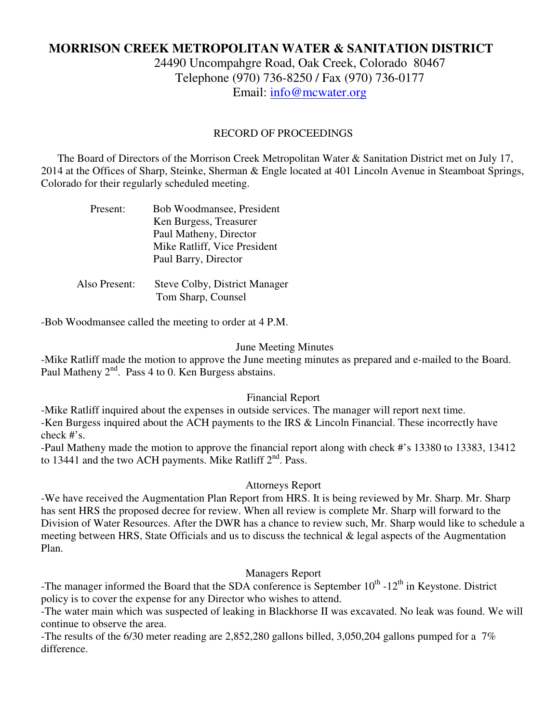# **MORRISON CREEK METROPOLITAN WATER & SANITATION DISTRICT**

24490 Uncompahgre Road, Oak Creek, Colorado 80467 Telephone (970) 736-8250 / Fax (970) 736-0177 Email: info@mcwater.org

#### RECORD OF PROCEEDINGS

 The Board of Directors of the Morrison Creek Metropolitan Water & Sanitation District met on July 17, 2014 at the Offices of Sharp, Steinke, Sherman & Engle located at 401 Lincoln Avenue in Steamboat Springs, Colorado for their regularly scheduled meeting.

| Present:      | Bob Woodmansee, President            |
|---------------|--------------------------------------|
|               | Ken Burgess, Treasurer               |
|               | Paul Matheny, Director               |
|               | Mike Ratliff, Vice President         |
|               | Paul Barry, Director                 |
|               |                                      |
| Also Present: | <b>Steve Colby, District Manager</b> |
|               | Tom Sharp, Counsel                   |

-Bob Woodmansee called the meeting to order at 4 P.M.

#### June Meeting Minutes

-Mike Ratliff made the motion to approve the June meeting minutes as prepared and e-mailed to the Board. Paul Matheny  $2<sup>nd</sup>$ . Pass 4 to 0. Ken Burgess abstains.

#### Financial Report

-Mike Ratliff inquired about the expenses in outside services. The manager will report next time. -Ken Burgess inquired about the ACH payments to the IRS & Lincoln Financial. These incorrectly have check #'s.

-Paul Matheny made the motion to approve the financial report along with check #'s 13380 to 13383, 13412 to 13441 and the two ACH payments. Mike Ratliff 2<sup>nd</sup>. Pass.

#### Attorneys Report

-We have received the Augmentation Plan Report from HRS. It is being reviewed by Mr. Sharp. Mr. Sharp has sent HRS the proposed decree for review. When all review is complete Mr. Sharp will forward to the Division of Water Resources. After the DWR has a chance to review such, Mr. Sharp would like to schedule a meeting between HRS, State Officials and us to discuss the technical & legal aspects of the Augmentation Plan.

### Managers Report

-The manager informed the Board that the SDA conference is September  $10^{th}$  -12<sup>th</sup> in Keystone. District policy is to cover the expense for any Director who wishes to attend.

-The water main which was suspected of leaking in Blackhorse II was excavated. No leak was found. We will continue to observe the area.

-The results of the 6/30 meter reading are 2,852,280 gallons billed, 3,050,204 gallons pumped for a 7% difference.